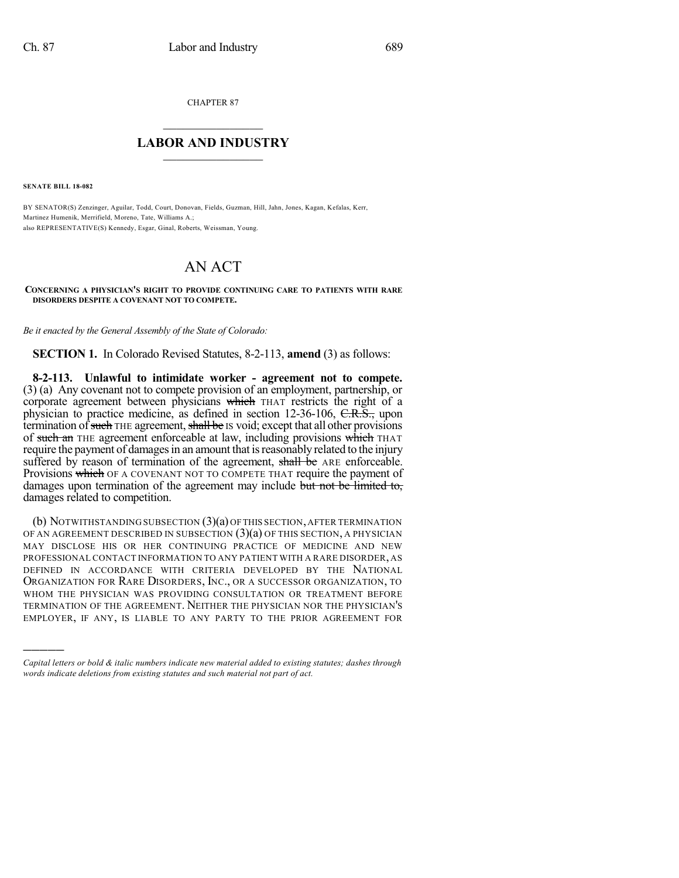CHAPTER 87

## $\mathcal{L}_\text{max}$  . The set of the set of the set of the set of the set of the set of the set of the set of the set of the set of the set of the set of the set of the set of the set of the set of the set of the set of the set **LABOR AND INDUSTRY**  $\frac{1}{\sqrt{2}}$  ,  $\frac{1}{\sqrt{2}}$  ,  $\frac{1}{\sqrt{2}}$  ,  $\frac{1}{\sqrt{2}}$  ,  $\frac{1}{\sqrt{2}}$  ,  $\frac{1}{\sqrt{2}}$

**SENATE BILL 18-082**

)))))

BY SENATOR(S) Zenzinger, Aguilar, Todd, Court, Donovan, Fields, Guzman, Hill, Jahn, Jones, Kagan, Kefalas, Kerr, Martinez Humenik, Merrifield, Moreno, Tate, Williams A.; also REPRESENTATIVE(S) Kennedy, Esgar, Ginal, Roberts, Weissman, Young.

## AN ACT

## **CONCERNING A PHYSICIAN'S RIGHT TO PROVIDE CONTINUING CARE TO PATIENTS WITH RARE DISORDERS DESPITE A COVENANT NOT TO COMPETE.**

*Be it enacted by the General Assembly of the State of Colorado:*

**SECTION 1.** In Colorado Revised Statutes, 8-2-113, **amend** (3) as follows:

**8-2-113. Unlawful to intimidate worker - agreement not to compete.** (3) (a) Any covenant not to compete provision of an employment, partnership, or corporate agreement between physicians which THAT restricts the right of a physician to practice medicine, as defined in section 12-36-106, C.R.S., upon termination of such THE agreement, shall be IS void; except that all other provisions of such an THE agreement enforceable at law, including provisions which THAT require the payment of damages in an amount that is reasonably related to the injury suffered by reason of termination of the agreement, shall be ARE enforceable. Provisions which OF A COVENANT NOT TO COMPETE THAT require the payment of damages upon termination of the agreement may include but not be limited to, damages related to competition.

(b) NOTWITHSTANDINGSUBSECTION (3)(a) OFTHIS SECTION,AFTER TERMINATION OF AN AGREEMENT DESCRIBED IN SUBSECTION  $(3)(a)$  OF THIS SECTION, A PHYSICIAN MAY DISCLOSE HIS OR HER CONTINUING PRACTICE OF MEDICINE AND NEW PROFESSIONAL CONTACT INFORMATION TO ANY PATIENT WITH A RARE DISORDER, AS DEFINED IN ACCORDANCE WITH CRITERIA DEVELOPED BY THE NATIONAL ORGANIZATION FOR RARE DISORDERS, INC., OR A SUCCESSOR ORGANIZATION, TO WHOM THE PHYSICIAN WAS PROVIDING CONSULTATION OR TREATMENT BEFORE TERMINATION OF THE AGREEMENT. NEITHER THE PHYSICIAN NOR THE PHYSICIAN'S EMPLOYER, IF ANY, IS LIABLE TO ANY PARTY TO THE PRIOR AGREEMENT FOR

*Capital letters or bold & italic numbers indicate new material added to existing statutes; dashes through words indicate deletions from existing statutes and such material not part of act.*